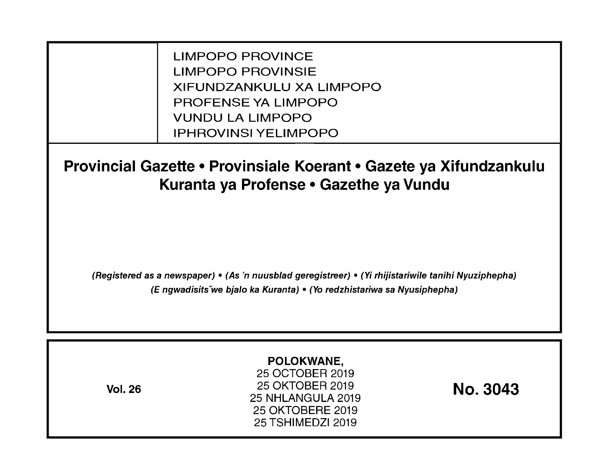LIMPOPO PROVINCE LIMPOPO PROVINSIE XIFUNDZANKULU XA LIMPOPO PROFENSE YA LIMPOPO VUNDU LA LIMPOPO IPHROVINSI YELIMPOPO

**Provincial Gazette • Provinsiale Koerant • Gazete ya Xifundzankulu Kuranta ya Profense • Gazethe ya Vundu** 

(Registered as a newspaper) • (As 'n nuusblad geregistreer) • (Yi rhijistariwile tanihi Nyuziphepha) (E ngwadisits we bjalo ka Kuranta) • (Yo redzhistariwa sa Nyusiphepha)

| <b>Vol. 26</b> | POLOKWANE,<br>25 OCTOBER 2019<br>25 OKTOBER 2019<br>25 NHLANGULA 2019<br>25 OKTOBERE 2019<br>25 TSHIMEDZI 2019 | No. 3043 |
|----------------|----------------------------------------------------------------------------------------------------------------|----------|
|----------------|----------------------------------------------------------------------------------------------------------------|----------|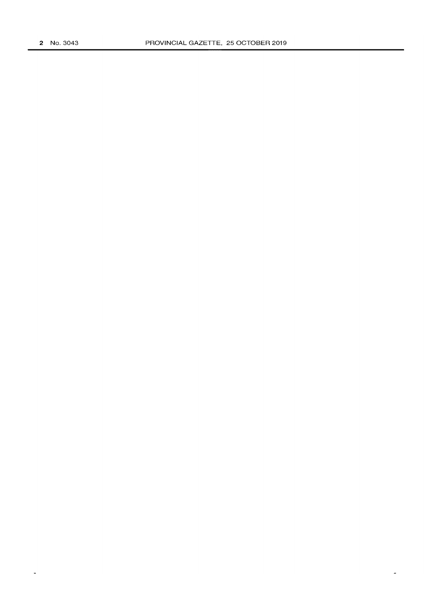$\Box$ 

 $\tilde{\phantom{a}}$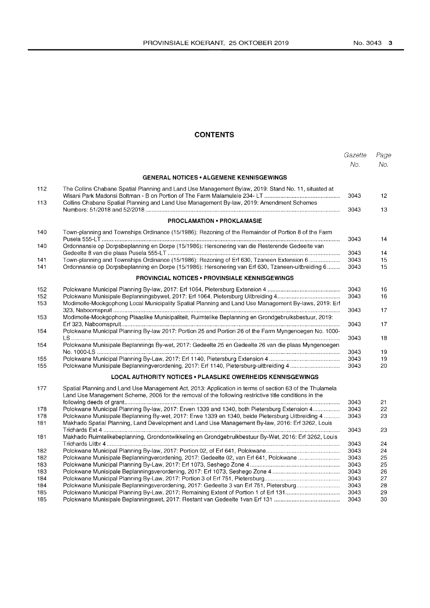# **CONTENTS**

|     |                                                                                                                                                                                                                  | Gazette | Page            |
|-----|------------------------------------------------------------------------------------------------------------------------------------------------------------------------------------------------------------------|---------|-----------------|
|     |                                                                                                                                                                                                                  | No.     | No.             |
|     | <b>GENERAL NOTICES • ALGEMENE KENNISGEWINGS</b>                                                                                                                                                                  |         |                 |
| 112 | The Collins Chabane Spatial Planning and Land Use Management Bylaw, 2019: Stand No. 11, situated at                                                                                                              | 3043    | 12 <sup>2</sup> |
| 113 | Collins Chabane Spatial Planning and Land Use Management By-law, 2019: Amendment Schemes                                                                                                                         | 3043    | 13              |
|     | <b>PROCLAMATION • PROKLAMASIE</b>                                                                                                                                                                                |         |                 |
| 140 | Town-planning and Townships Ordinance (15/1986): Rezoning of the Remainder of Portion 8 of the Farm                                                                                                              | 3043    | 14              |
| 140 | Ordonnansie op Dorpsbeplanning en Dorpe (15/1986): Hersonering van die Resterende Gedeelte van                                                                                                                   | 3043    | 14              |
| 141 | Town-planning and Townships Ordinance (15/1986): Rezoning of Erf 630, Tzaneen Extension 6                                                                                                                        | 3043    | 15              |
| 141 | Ordonnansie op Dorpsbeplanning en Dorpe (15/1986): Hersonering van Erf 630, Tzaneen-uitbreiding 6                                                                                                                | 3043    | 15              |
|     | <b>PROVINCIAL NOTICES • PROVINSIALE KENNISGEWINGS</b>                                                                                                                                                            |         |                 |
| 152 |                                                                                                                                                                                                                  | 3043    | 16              |
| 152 |                                                                                                                                                                                                                  | 3043    | 16              |
| 153 | Modimolle-Mookgophong Local Municipality Spatial Planning and Land Use Management By-laws, 2019: Erf                                                                                                             | 3043    | 17              |
| 153 | Modimolle-Mookgophong Plaaslike Munisipaliteit, Ruimtelike Beplanning en Grondgebruiksbestuur, 2019:                                                                                                             | 3043    | 17              |
| 154 | Polokwane Municipal Planning By-law 2017: Portion 25 and Portion 26 of the Farm Myngenoegen No. 1000-                                                                                                            | 3043    | 18              |
| 154 | Polokwane Munisipale Beplannings By-wet, 2017: Gedeelte 25 en Gedeelte 26 van die plaas Myngenoegen                                                                                                              | 3043    | 19              |
| 155 |                                                                                                                                                                                                                  | 3043    | 19              |
| 155 |                                                                                                                                                                                                                  | 3043    | 20              |
|     | <b>LOCAL AUTHORITY NOTICES . PLAASLIKE OWERHEIDS KENNISGEWINGS</b>                                                                                                                                               |         |                 |
| 177 | Spatial Planning and Land Use Management Act, 2013: Application in terms of section 63 of the Thulamela<br>Land Use Management Scheme, 2006 for the removal of the following restrictive title conditions in the |         |                 |
|     |                                                                                                                                                                                                                  | 3043    | 21              |
| 178 | Polokwane Municipal Planning By-law, 2017: Erven 1339 and 1340, both Pietersburg Extension 4                                                                                                                     | 3043    | 22              |
| 178 | Polokwane Munisipale Beplanning By-wet, 2017: Erwe 1339 en 1340, beide Pietersburg Uitbreiding 4                                                                                                                 | 3043    | 23              |
| 181 | Makhado Spatial Planning, Land Development and Land Use Management By-law, 2016: Erf 3262, Louis                                                                                                                 | 3043    | 23              |
| 181 | Makhado Ruimtelikebeplanning, Grondontwikkeling en Grondgebruikbestuur By-Wet, 2016: Erf 3262, Louis                                                                                                             | 3043    | 24              |
| 182 |                                                                                                                                                                                                                  | 3043    | 24              |
| 182 | Polokwane Munisipale Beplanningverordening, 2017: Gedeelte 02, van Erf 641, Polokwane                                                                                                                            | 3043    | 25              |
| 183 |                                                                                                                                                                                                                  | 3043    | 25              |
| 183 |                                                                                                                                                                                                                  | 3043    | 26              |
| 184 |                                                                                                                                                                                                                  | 3043    | 27              |
| 184 | Polokwane Munisipale Beplanningsverordening, 2017: Gedeelte 3 van Erf 751, Pietersburg                                                                                                                           | 3043    | 28              |
| 185 |                                                                                                                                                                                                                  | 3043    | 29              |
| 185 |                                                                                                                                                                                                                  | 3043    | 30              |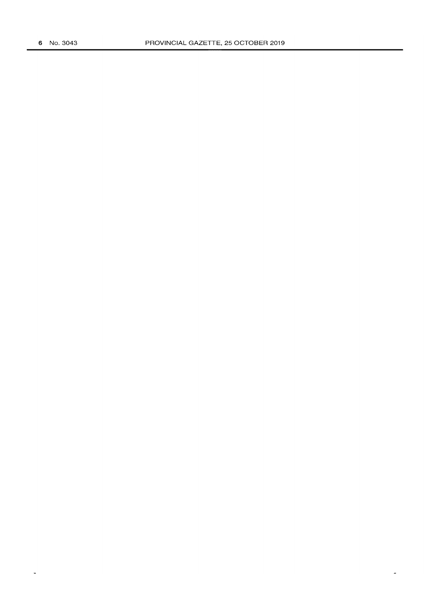$\Box$ 

 $\tilde{\phantom{a}}$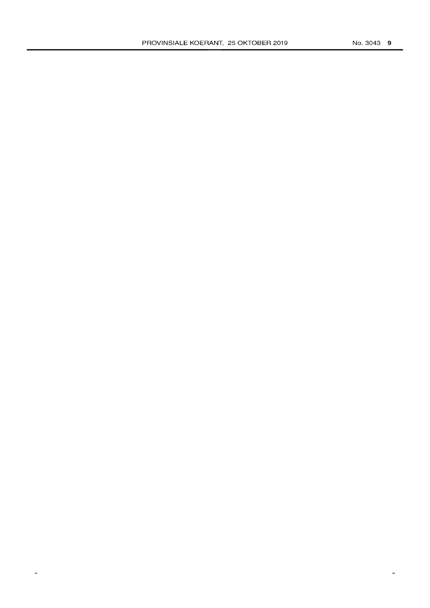$\overline{a}$ 

 $\overline{\phantom{a}}$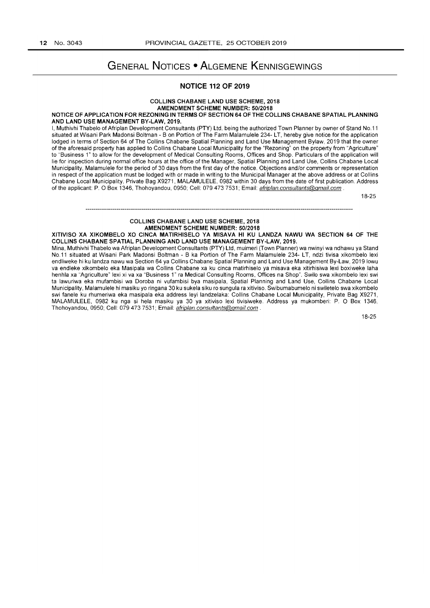# GENERAL NOTICES • ALGEMENE KENNISGEWINGS

# NOTICE 112 OF 2019

#### COLLINS CHABANE LAND USE SCHEME, 2018 AMENDMENT SCHEME NUMBER: *50/2018*

#### NOTICE OF APPLICATION FOR REZONING IN TERMS OF SECTION 64 OF THE COLLINS CHABANE SPATIAL PLANNING AND LAND USE MANAGEMENT BY-LAW, 2019.

I, Muthivhi Thabelo of Afriplan Development Consultants (PTY) Ltd, being the authorized Town Planner by owner of Stand No.11 situated at Wisani Park Madonsi Boltman - B on Portion of The Farm Malamulele 234- L T, hereby give notice for the application lodged in terms of Section 64 of The Collins Chabane Spatial Planning and Land Use Management Bylaw, 2019 that the owner of the aforesaid property has applied to Collins Chabane Local Municipality for the "Rezoning" on the property from "Agriculture" to "Business 1" to allow for the development of Medical Consulting Rooms, Offices and Shop. Particulars of the application will lie for inspection during normal office hours at the office of the Manager, Spatial Planning and Land Use, Collins Chabane Local Municipality, Malamulele for the period of 30 days from the first day of the notice. Objections and/or comments or representation in respect of the application must be lodged with or made in writing to the Municipal Manager at the above address or at Collins Chabane Local Municipality, Private Bag X9271, MALAMULELE, 0982 within 30 days from the date of first publication. Address of the applicant: P. O Box 1346, Thohoyandou, 0950; Cell: 079 473 7531; Email: afriplan.consultants@gmail.com .

18-25

#### COLLINS CHABANE LAND USE SCHEME, 2018 AMENDMENT SCHEME NUMBER: *50/2018*  XITIVISO XA XIKOMBELO XO CINCA MATIRHISELO YA MISAVA HI KU LANDZA NAWU WA SECTION 64 OF THE

COLLINS CHABANE SPATIAL PLANNING AND LAND USE MANAGEMENT BY-LAW, 2019. Mina, Muthivhi Thabelo wa Afriplan Development Consultants (PTY) Ltd, muimeri (Town Planner) wa nwinyi wa ndhawu ya Stand No.11 situated at Wisani Park Madonsi Boltman - B ka Portion of The Farm Malamulele 234- LT, ndzi tivisa xikombelo lexi endliweke hi ku landza nawu wa Section 64 ya Collins Chabane Spatial Planning and Land Use Management By-Law, 2019 lowu va endleke xikombelo eka Masipala wa Collins Chabane xa ku cinca matirhiselo ya misava eka xitirhisiwa lexi boxiweke laha henhla xa "Agriculture" lexi xi va xa "Business 1" ra Medical Consulting Rooms, Offices na Shop". Swilo swa xikombelo lexi swi ta lawuriwa eka mufambisi wa Doroba ni vufambisi bya masipala, Spatial Planning and Land Use, Collins Chabane Local Municipality, Malamulele hi masiku yo ringana 30 ku sukela siku ro sungula ra xitiviso. Swibumabumelo ni swiletelo swa xikombelo swi fanele ku rhumeriwa eka masipala eka address leyi landzelaka: Collins Chabane Local Municipality, Private Bag X9271, MALAMULELE, 0982 ku nga si hela masiku ya 30 ya xitiviso lexi tivisiweke. Address ya mukomberi: P. 0 Box 1346, Thohoyandou, 0950; Cell: 0794737531; Email: afriplan.consultants@qmail.com .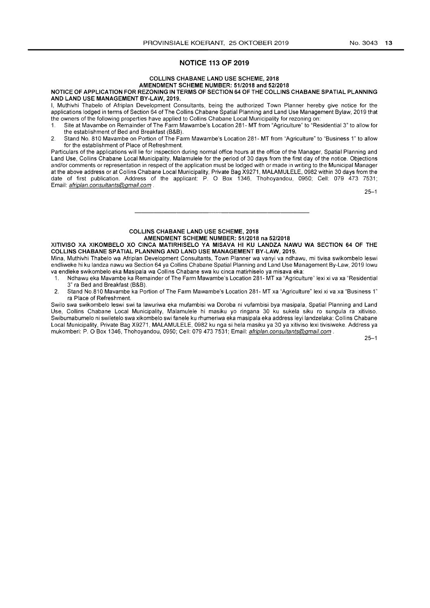# **NOTICE** 113 **OF** 2019

#### COLLINS CHABANE LAND USE SCHEME, 2018

AMENDMENT SCHEME NUMBER: 51/2018 and 52/2018

#### NOTICE OF APPLICATION FOR REZONING IN TERMS OF SECTION 64 OF THE COLLINS CHABANE SPATIAL PLANNING AND LAND USE MANAGEMENT BY-LAW, 2019.

I, Muthivhi Thabelo of Afriplan Development Consultants, being the authorized Town Planner hereby give notice for the applications lodged in terms of Section 64 of The Collins Chabane Spatial Planning and Land Use Management Bylaw, 2019 that the owners of the following properties have applied to Collins Chabane Local Municipality for rezoning on:

- 1. Site at Mavambe on Remainder of The Farm Mawambe's Location 281- MT from "Agriculture" to "Residential 3" to allow for the establishment of Bed and Breakfast (B&B).
- 2. Stand No. 810 Mavambe on Portion of The Farm Mawambe's Location 281- MT from "Agriculture" to "Business 1" to allow for the establishment of Place of Refreshment.

Particulars of the applications will lie for inspection during normal office hours at the office of the Manager, Spatial Planning and Land Use, Collins Chabane Local Municipality, Malamulele for the period of 30 days from the first day of the notice. Objections and/or comments or representation in respect of the application must be lodged with or made in writing to the Municipal Manager at the above address or at Collins Chabane Local Municipality, Private Bag X9271, MALAMULELE, 0982 within 30 days from the date of first publication. Address of the applicant: P. O Box 1346, Thohoyandou, 0950; Cell: 079 473 7531; Email: afriplan.consultants@gmail.com .

 $25 - 1$ 

# COLLINS CHABANE LAND USE SCHEME, 2018

#### AMENDMENT SCHEME NUMBER: 51/2018 na 52/2018

XITIVISO XA XIKOMBELO XO CINCA MATIRHISELO YA MISAVA HI KU LANDZA NAWU WA SECTION 64 OF THE COLLINS CHABANE SPATIAL PLANNING AND LAND USE MANAGEMENT BY-LAW, 2019.

Mina, Muthivhi Thabelo wa Afriplan Development Consultants, Town Planner wa vanyi va ndhawu, mi tivisa swikombelo leswi endliweke hi ku landza nawu wa Section 64 ya Collins Chabane Spatial Planning and Land Use Management By-Law, 2019 lowu va endleke swikombelo eka Masipala wa Collins Chabane swa ku cinca matirhiselo ya misava eka:

- 1. Ndhawu eka Mavambe ka Remainder of The Farm Mawambe's Location 281- MT xa "Agriculture" lexi xi va xa "Residential 3" ra Bed and Breakfast (B&B).
- 2. Stand NO.810 Mavambe ka Portion of The Farm Mawambe's Location 281- MT xa "Agriculture" lexi xi va xa "Business 1" ra Place of Refreshment.

Swilo swa swikombelo leswi swi ta lawuriwa eka mufambisi wa Doroba ni vufambisi bya masipala, Spatial Planning and Land Use, Collins Chabane Local Municipality, Malamulele hi masiku yo ringana 30 ku sukela siku ro sungula ra xitiviso. Swibumabumelo ni swiletelo swa xikombelo swi fanele ku rhumeriwa eka masipala eka address leyi landzelaka: Collins Chabane Local Municipality, Private Bag X9271, MALAMULELE, 0982 ku nga si hela masiku ya 30 ya xitiviso lexi tivisiweke. Address ya mukomberi: P. 0 Box 1346, Thohoyandou, 0950; Cell: 079 473 7531; Email: afriplan.consultants@gmail.com .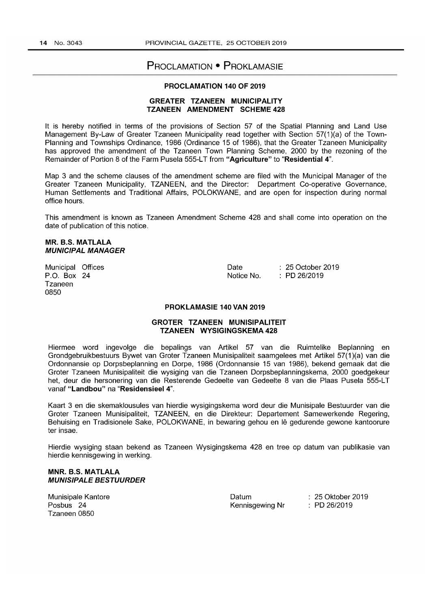# PROCLAMATION • PROKLAMASIE

# PROCLAMATION 140 OF 2019

# GREATER TZANEEN MUNICIPALITY TZANEEN AMENDMENT SCHEME 428

It is hereby notified in terms of the provisions of Section 57 of the Spatial Planning and Land Use Management By-Law of Greater Tzaneen Municipality read together with Section 57(1)(a) of the Town-Planning and Townships Ordinance, 1986 (Ordinance 15 of 1986), that the Greater Tzaneen Municipality has approved the amendment of the Tzaneen Town Planning Scheme, 2000 by the rezoning of the Remainder of Portion 8 of the Farm Pusela 555-LT from "Agriculture" to "Residential 4".

Map 3 and the scheme clauses of the amendment scheme are filed with the Municipal Manager of the Greater Tzaneen Municipality, TZANEEN, and the Director: Department Co-operative Governance, Human Settlements and Traditional Affairs, POLOKWANE, and are open for inspection during normal office hours.

This amendment is known as Tzaneen Amendment Scheme 428 and shall come into operation on the date of publication of this notice.

# MR. B.S. MATLALA MUNICIPAL MANAGER

Municipal Offices P.O. Box 24 Tzaneen 0850

Date Notice No. 25 October 2019 PO *26/2019* 

#### PROKLAMASIE 140 VAN 2019

# GROTER TZANEEN MUNISIPALITEIT TZANEEN WYSIGINGSKEMA 428

Hiermee word ingevolge die bepalings van Artikel 57 van die Ruimtelike Beplanning en Grondgebruikbestuurs Bywet van Groter Tzaneen Munisipaliteit saamgelees met Artikel 57(1 )(a) van die Ordonnansie op Dorpsbeplanning en Dorpe, 1986 (Ordonnansie 15 van 1986), bekend gemaak dat die Groter Tzaneen Munisipaliteit die wysiging van die Tzaneen Dorpsbeplanningskema, 2000 goedgekeur het, deur die hersonering van die Resterende Gedeelte van Gedeelte 8 van die Plaas Pusela 555-LT vanaf "Landbou" na "Residensieel 4".

Kaart 3 en die skemaklousules van hierdie wysigingskema word deur die Munisipale Bestuurder van die Groter Tzaneen Munisipaliteit, TZANEEN, en die Direkteur: Departement Samewerkende Regering, Behuising en Tradisionele Sake, POLOKWANE, in bewaring gehou en Ie gedurende gewone kantoorure ter insae.

Hierdie wysiging staan bekend as Tzaneen Wysigingskema 428 en tree op datum van publikasie van hierdie kennisgewing in werking.

## MNR. B.S. MATLALA MUNISIPALE BESTUURDER

Munisipale Kantore Posbus 24 Tzaneen 0850

Datum Kennisgewing Nr 25 Oktober 2019 PO *26/2019*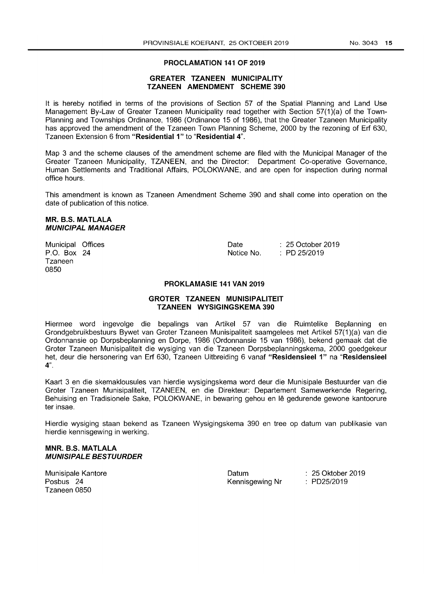# PROCLAMATION 141 OF 2019

# GREATER TZANEEN MUNICIPALITY TZANEEN AMENDMENT SCHEME 390

It is hereby notified in terms of the provisions of Section 57 of the Spatial Planning and Land Use Management By-Law of Greater Tzaneen Municipality read together with Section 57(1)(a) of the Town-Planning and Townships Ordinance, 1986 (Ordinance 15 of 1986), that the Greater Tzaneen Municipality has approved the amendment of the Tzaneen Town Planning Scheme, 2000 by the rezoning of Erf 630, Tzaneen Extension 6 from "Residential 1" to "Residential 4".

Map 3 and the scheme clauses of the amendment scheme are filed with the Municipal Manager of the Greater Tzaneen Municipality, TZANEEN, and the Director: Department Co-operative Governance, Human Settlements and Traditional Affairs, POLOKWANE, and are open for inspection during normal office hours.

This amendment is known as Tzaneen Amendment Scheme 390 and shall come into operation on the date of publication of this notice.

# MR. B.S. MATLALA MUNICIPAL MANAGER

Municipal Offices P.O. Box 24 Tzaneen 0850

**Date** Notice No.

25 October 2019  $\therefore$  PD 25/2019

#### PROKLAMASIE 141 VAN 2019

# GROTER TZANEEN MUNISIPALITEIT TZANEEN WYSIGINGSKEMA 390

Hiermee word ingevolge die bepalings van Artikel 57 van die Ruimtelike Beplanning en Grondgebruikbestuurs Bywet van Groter Tzaneen Munisipaliteit saamgelees met Artikel 57(1 )(a) van die Ordonnansie op Dorpsbeplanning en Dorpe, 1986 (Ordonnansie 15 van 1986), bekend gemaak dat die Groter Tzaneen Munisipaliteit die wysiging van die Tzaneen Dorpsbeplanningskema, 2000 goedgekeur het, deur die hersonering van Erf 630, Tzaneen Uitbreiding 6 vanaf "Residensieel 1" na "Residensieel 4".

Kaart 3 en die skemaklousules van hierdie wysigingskema word deur die Munisipale Bestuurder van die Groter Tzaneen Munisipaliteit, TZANEEN, en die Direkteur: Departement Samewerkende Regering, Behuising en Tradisionele Sake, POLOKWANE, in bewaring gehou en lê gedurende gewone kantoorure ter insae.

Hierdie wysiging staan bekend as Tzaneen Wysigingskema 390 en tree op datum van publikasie van hierdie kennisgewing in werking.

## MNR. B.S. MATLALA MUNISIPALE BESTUURDER

Munisipale Kantore Posbus 24 Tzaneen 0850

**Datum** Kennisgewing Nr

25 Oktober 2019 PD25/2019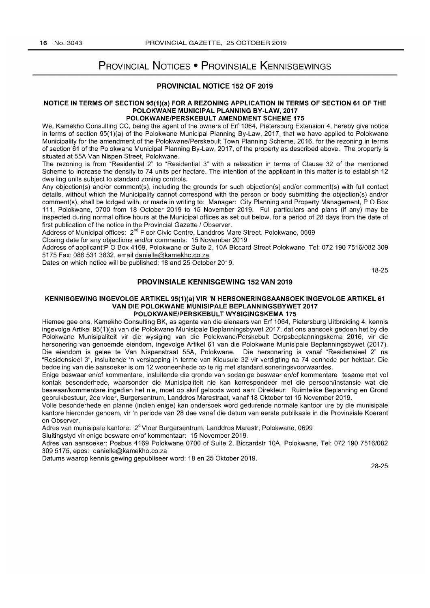# PROVINCIAL NOTICES • PROVINSIALE KENNISGEWINGS

# PROVINCIAL NOTICE 152 OF 2019

#### NOTICE IN TERMS OF SECTION 95(1)(a) FOR A REZONING APPLICATION IN TERMS OF SECTION 61 OF THE POLOKWANE MUNICIPAL PLANNING BY-LAW, 2017 POLOKWANE/PERSKEBULT AMENDMENT SCHEME 175

We, Kamekho Consulting CC, being the agent of the owners of Erf 1064. Pietersburg Extension 4, hereby give notice in terms of section 95(1)(a) of the Polokwane Municipal Planning By-Law, 2017, that we have applied to Polokwane Municipality for the amendment of the Polokwane/Perskebult Town Planning Scheme, 2016, for the rezoning in terms of section 61 of the Polokwane Municipal Planning By-Law, 2017, of the property as described above. The property is situated at 55A Van Nispen Street, Polokwane.

The rezoning is from "Residential 2" to "Residential 3" with a relaxation in terms of Clause 32 of the mentioned Scheme to increase the density to 74 units per hectare. The intention of the applicant in this matter is to establish 12 dwelling units subject to standard zoning controls.

Any objection(s) and/or comment(s), including the grounds for such objection(s) and/or comment(s) with full contact details, without which the Municipality cannot correspond with the person or body submitting the objection(s) and/or comment(s), shall be lodged with, or made in writing to: Manager: City Planning and Property Management, PO Box 111, Polokwane, 0700 from 18 October 2019 to 15 November 2019. Full particulars and plans (if any) may be inspected during normal office hours at the Municipal offices as set out below, for a period of 28 days from the date of first publication of the notice in the Provincial Gazette / Observer.

Address of Municipal offices: 2<sup>nd</sup> Floor Civic Centre, Landdros Mare Street, Polokwane, 0699

Closing date for any objections and/or comments: 15 November 2019

Address of applicant:P O Box 4169, Polokwane or Suite 2, 10A Biccard Street Polokwane, Tel: 072 190 7516/082 309 5175 Fax: 086 531 3832, email danielle@kamekho.co.za

Dates on which notice will be published: 18 and 25 October 2019.

18-25

# PROVINSIALE KENNISGEWING 152 VAN 2019

#### KENNISGEWING INGEVOLGE ARTIKEL 95(1)(a) VIR 'N HERSONERINGSAANSOEK INGEVOLGE ARTIKEL 61 VAN DIE POLOKWANE MUNISIPALE BEPLANNINGSBYWET 2017 POLOKWANE/PERSKEBULT WYSIGINGSKEMA 175

Hiemee gee ons, Kamekho Consulting BK, as agente van die eienaars van Erf 1064, Pietersburg Uitbreiding 4, kennis ingevolge Artikel 95(1 )(a) van die Polokwane Munisipale Beplanningsbywet 2017, dat ons aansoek gedoen het by die Polokwane Munisipaliteit vir die wysiging van die Polokwane/Perskebult Dorpsbeplanningskema 2016, vir die hersonering van genoemde eiendom, ingevolge Artikel 61 van die Polokwane Munisipale Beplanningsbywet (2017). Die eiendom is gelee te Van Nispenstraat 55A, Polokwane. Die hersonering is vanaf "Residensieel 2" na "Residensieel 3", insluitende 'n verslapping in terme van Klousule 32 vir verdigting na 74 eenhede per hektaar. Die bedoeling van die aansoeker is om 12 wooneenhede op te rig met standard soneringsvoorwaardes.

Enige beswaar en/of kommentare, insluitende die gronde van sodanige beswaar en/of kommentare tesame met vol kontak besonderhede, waarsonder die Munisipaliteit nie kan korrespondeer met die persoon/instansie wat die beswaar/kommentare ingedien het nie, moet op skrif geloods word aan: Direkteur: Ruimtelike Beplanning en Grond gebruikbestuur, 2de vloer, Burgersentrum, Landdros Marestraat, vanaf 18 Oktober tot 15 November 2019.

Volle besonderhede en planne (indien enige) kan ondersoek word gedurende normale kantoor ure by die munisipale kantore hieronder genoem, vir 'n periode van 28 dae vanaf die datum van eerste publikasie in die Provinsiale Koerant en Observer.

Adres van munisipale kantore:  $2^e$  Vloer Burgersentrum, Landdros Marestr, Polokwane, 0699

Sluitingstyd vir enige besware en/of kommentaar: 15 November 2019.

Adres van aansoeker: Posbus 4169 Polokwane 0700 of Suite 2, Biccardstr 10A, Polokwane, Tel: 072 190 7516/082 3095175, epos: danielle@kamekho.co.za

Datums waarop kennis gewing gepubliseer word: 18 en 25 Oktober 2019.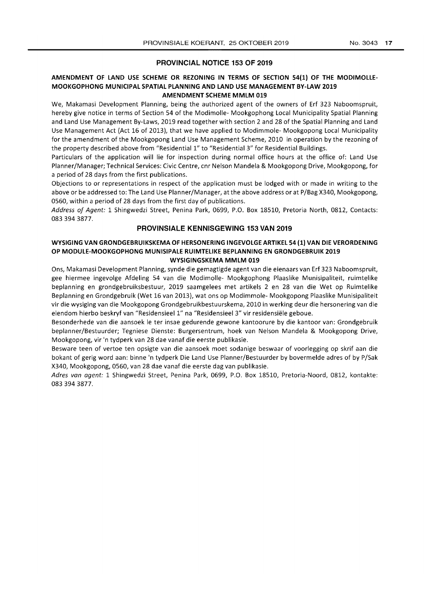# **PROVINCIAL NOTICE 153 OF 2019**

# **AMENDMENT OF LAND USE SCHEME OR REZONING IN TERMS OF SECTION 54(1) OF THE MODIMOLLE-MOOKGOPHONG MUNICIPAL SPATIAL PLANNING AND LAND USE MANAGEMENT BY-LAW 2019 AMENDMENT SCHEME MMLM 019**

We, Makamasi Development Planning, being the authorized agent of the owners of Erf 323 Naboomspruit, hereby give notice in terms of Section 54 of the Modimolle- Mookgophong Local Municipality Spatial Planning and Land Use Management By-Laws, 2019 read together with section 2 and 28 of the Spatial Planning and Land Use Management Act (Act 16 of 2013), that we have applied to Modimmole- Mookgopong Local Municipality for the amendment of the Mookgopong Land Use Management Scheme, 2010 in operation by the rezoning of the property described above from "Residential 1" to "Residential 3" for Residential Buildings.

Particulars of the application will lie for inspection during normal office hours at the office of: Land Use Planner/Manager; Technical Services: Civic Centre, cnr Nelson Mandela & Mookgopong Drive, Mookgopong, for a period of 28 days from the first publications.

Objections to or representations in respect of the application must be lodged with or made in writing to the above or be addressed to: The Land Use Planner/Manager, at the above address or at P/Bag X340, Mookgopong, 0560, within a period of 28 days from the first day of publications.

Address of Agent: 1 Shingwedzi Street, Penina Park, 0699, P.O. Box 18510, Pretoria North, 0812, Contacts: 0833943877.

#### **PROVINSIALE KENNISGEWING 153 VAN 2019**

# **WYSIGING VAN GRONDGEBRUIKSKEMA OF HERSONERING INGEVOLGE ARTIKEL 54 (1) VAN DIE VERORDENING OP MODULE-MOOKGOPHONG MUNISIPALE RUIMTELIKE BEPLANNING EN GRONDGEBRUIK 2019 WYSIGINGSKEMA MMLM 019**

Ons, Makamasi Development Planning, synde die gemagtigde agent van die eienaars van Erf 323 Naboomspruit, gee hiermee ingevolge Afdeling 54 van die Modimolle- Mookgophong Plaaslike Munisipaliteit, ruimtelike beplanning en grondgebruiksbestuur, 2019 saamgelees met artikels 2 en 28 van die Wet op Ruimtelike Beplanning en Grondgebruik (Wet 16 van 2013), wat ons op Modimmole- Mookgopong Plaaslike Munisipaliteit vir die wysiging van die Mookgopong Grondgebruikbestuurskema, 2010 in werking deur die hersonering van die eiendom hierbo beskryf van "ResidensieeI1" na "Residensieel 3" vir residensiele geboue.

Besonderhede van die aansoek Ie ter insae gedurende gewone kantoorure by die kantoor van: Grondgebruik beplanner/Bestuurder; Tegniese Dienste: Burgersentrum, hoek van Nelson Mandela & Mookgopong Drive, Mookgopong, vir 'n tydperk van 28 dae vanaf die eerste publikasie.

Besware teen of vertoe ten opsigte van die aansoek moet sodanige beswaar of voorlegging op skrif aan die bokant of gerig word aan: binne 'n tydperk Die Land Use Planner/Bestuurder by bovermelde adres of by P/Sak X340, Mookgopong, 0560, van 28 dae vanaf die eerste dag van publikasie.

*Adres van agent:* 1 Shingwedzi Street, Penina Park, 0699, P.O. Box 18510, Pretoria-Noord, 0812, kontakte: 0833943877.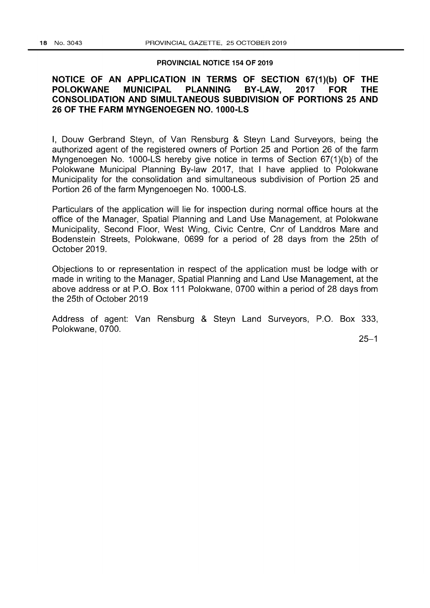#### PROVINCIAL NOTICE 154 OF 2019

# NOTICE OF AN APPLICATION IN TERMS OF SECTION 67(1)(b) OF THE POLOKWANE MUNICIPAL PLANNING BY-LAW, 2017 FOR THE CONSOLIDATION AND SIMULTANEOUS SUBDIVISION OF PORTIONS 25 AND 26 OF THE FARM MYNGENOEGEN NO.1 OOO-LS

I, Douw Gerbrand Steyn, of Van Rensburg & Steyn Land Surveyors, being the authorized agent of the registered owners of Portion 25 and Portion 26 of the farm Myngenoegen No. 1000-LS hereby give notice in terms of Section 67(1 )(b) of the Polokwane Municipal Planning By-law 2017, that I have applied to Polokwane Municipality for the consolidation and simultaneous subdivision of Portion 25 and Portion 26 of the farm Myngenoegen No.1 OOO-LS.

Particulars of the application will lie for inspection during normal office hours at the office of the Manager, Spatial Planning and Land Use Management, at Polokwane Municipality, Second Floor, West Wing, Civic Centre, Cnr of Landdros Mare and Bodenstein Streets, Polokwane, 0699 for a period of 28 days from the 25th of October 2019.

Objections to or representation in respect of the application must be lodge with or made in writing to the Manager, Spatial Planning and Land Use Management, at the above address or at P.O. Box 111 Polokwane, 0700 within a period of 28 days from the 25th of October 2019

Address of agent: Van Rensburg & Steyn Land Surveyors, P.O. Box 333, Polokwane, 0700.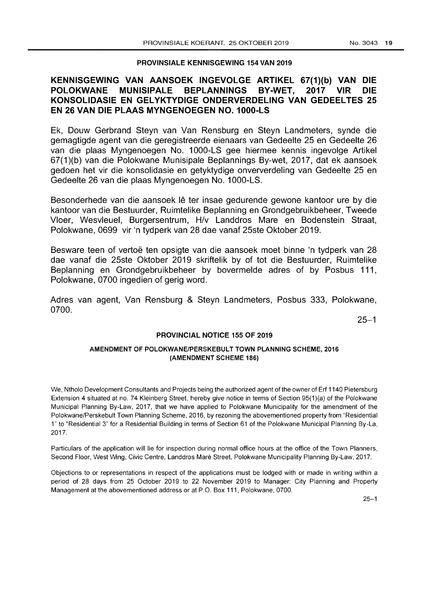# PROVINSIALE KENNISGEWING 154 VAN 2019

# KENNISGEWING VAN AANSOEK INGEVOLGE ARTIKEL 67(1)(b) VAN DIE POLOKWANE MUNISIPALE BEPLANNINGS BY-WET, 2017 VIR DIE KONSOLIDASIE EN GELYKTYDIGE ONDERVERDELING VAN GEDEELTES 25 EN 26 VAN DIE PLAAS MYNGENOEGEN NO. 1000-LS

Ek, Douw Gerbrand Steyn van Van Rensburg en Steyn Landmeters, synde die gemagtigde agent van die geregistreerde eienaars van Gedeelte 25 en Gedeelte 26 van die plaas Myngenoegen No. 1000-LS gee hiermee kennis ingevolge Artikel 67(1 )(b) van die Polokwane Munisipale Beplannings By-wet, 2017, dat ek aansoek gedoen het vir die konsolidasie en getyktydige onververdeling van Gedeelte 25 en Gedeelte 26 van die plaas Myngenoegen No.1 OOO-LS.

Besonderhede van die aansoek lê ter insae gedurende gewone kantoor ure by die kantoor van die Bestuurder, Ruimtelike Beplanning en Grondgebruikbeheer, Tweede Vloer, Wesvleuel, Burgersentrum, H/v Landdros Mare en Bodenstein Straat, Polokwane, 0699 vir 'n tydperk van 28 dae vanaf 25ste Oktober 2019.

Besware teen of vertoë ten opsigte van die aansoek moet binne 'n tydperk van 28 dae vanaf die 25ste Oktober 2019 skriftelik by of tot die Bestuurder, Ruimtelike Beplanning en Grondgebruikbeheer by bovermelde adres of by Posbus 111, Polokwane, 0700 ingedien of gerig word.

Adres van agent, Van Rensburg & Steyn Landmeters, Posbus 333, Polokwane, 0700.

 $25 - 1$ 

#### PROVINCIAL NOTICE 155 OF 2019

# AMENDMENT OF POLOKWANE/PERSKEBULT TOWN PLANNING SCHEME, 2016 (AMENDMENT SCHEME 186)

We, Ntholo Development Consultants and Projects being the authorized agent of the owner of Erf 1140 Pietersburg Extension 4 situated at no. 74 Kleinberg Street, hereby give notice in terms of Section 95(1)(a) of the Polokwane Municipal Planning By-Law, 2017, that we have applied to Polokwane Municipality for the amendment of the Polokwane/Perskebult Town Planning Scheme, 2016, by rezoning the abovementioned property from "Residential 1" to "Residential 3" for a Residential Building in terms of Section 61 of the Polokwane Municipal Planning By-La, 2017.

Particulars of the application will lie for inspection during normal office hours at the office of the Town Planners, Second Floor, West Wing, Civic Centre, Landdros Mare Street, Polokwane Municipality Planning By-Law, 2017.

Objections to or representations in respect of the applications must be lodged with or made in writing within a period of 28 days from 25 October 2019 to 22 November 2019 to Manager: City Planning and Property Management at the abovementioned address or at P.O. Box 111, Polokwane, 0700.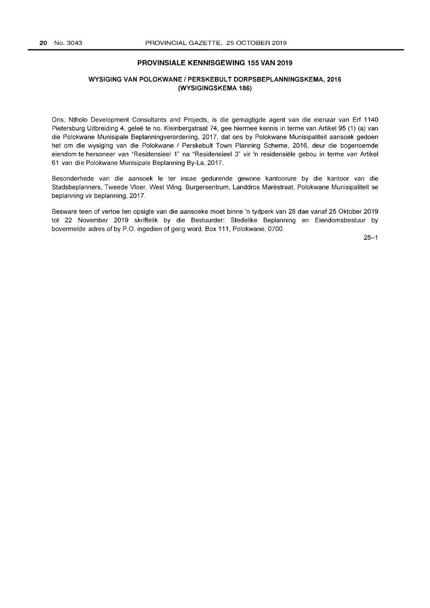## **PROVINSIALE KENNISGEWING 155 VAN 2019**

# **WYSIGING VAN POLOKWANE I PERSKEBULT DORPSBEPLANNINGSKEMA, 2016 (WYSIGINGSKEMA 186)**

Ons, Ntholo Development Consultants and Projects, is die gemagtigde agent van die eienaar van Erf 1140 Pietersburg Uitbreiding 4, geleë te no. Kleinbergstraat 74, gee hiermee kennis in terme van Artikel 95 (1) (a) van die Polokwane Munisipale Beplanningverordening, 2017, dat ons by Polokwane Munisipaliteit aansoek gedoen het om die wysiging van die Polokwane / Perskebult Town Planning Scheme, 2016, deur die bogenoemde eiendom te hersoneer van "Residensieel 1" na "Residensieel 3" vir 'n residensiele gebou in terme van Artikel 61 van die Polokwane Munisipale Beplanning By-La, 2017.

Besonderhede van die aansoek Ie ter insae gedurende gewone kantoorure by die kantoor van die Stadsbeplanners, Tweede Vloer, West Wing, Burgersentrum, Landdros Marestraat, Polokwane Munisipaliteit se beplanning vir beplanning, 2017.

Besware teen of vertoe ten opsigte van die aansoeke moet binne 'n tydperk van 28 dae vanaf 25 Oktober 2019 tot 22 November 2019 skriftelik by die Bestuurder: Stedelike Beplanning en Eiendomsbestuur by bovermelde adres of by P.O. ingedien of gerig word. Box 111, Polokwane, 0700.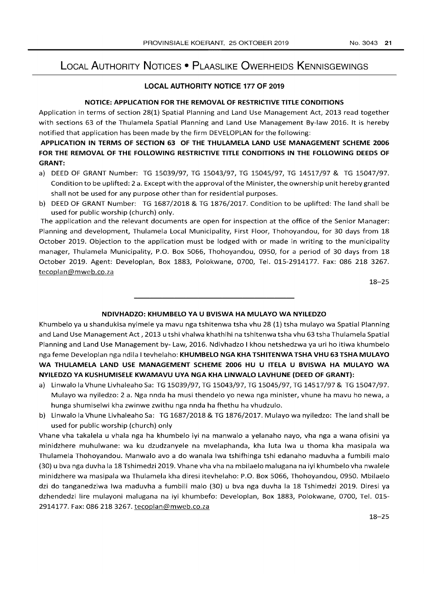# LOCAL AUTHORITY NOTICES • PLAASLIKE OWERHEIDS KENNISGEWINGS

# LOCAL AUTHORITY NOTICE 177 OF 2019

# NOTICE: APPLICATION FOR THE REMOVAL OF RESTRICTIVE TITLE CONDITIONS

Application in terms of section 28(1) Spatial Planning and Land Use Management Act, 2013 read together with sections 63 of the Thulamela Spatial Planning and Land Use Management By-law 2016. It is hereby notified that application has been made by the firm DEVELOPLAN for the following:

# APPLICATION IN TERMS OF SECTION 63 OF THE THULAMELA LAND USE MANAGEMENT SCHEME 2006 FOR THE REMOVAL OF THE FOLLOWING RESTRICTIVE TITLE CONDITIONS IN THE FOLLOWING DEEDS OF GRANT:

- a) DEED OF GRANT Number: TG 15039/97, TG 15043/97, TG 15045/97, TG 14517/97 & TG 15047/97. Condition to be uplifted: 2 a. Except with the approval of the Minister, the ownership unit hereby granted shall not be used for any purpose other than for residential purposes.
- b) DEED OF GRANT Number: TG 1687/2018 & TG 1876/2017. Condition to be uplifted: The land shall be used for public worship (church) only.

The application and the relevant documents are open for inspection at the office of the Senior Manager: Planning and development, Thulamela Local Municipality, First Floor, Thohoyandou, for 30 days from 18 October 2019. Objection to the application must be lodged with or made in writing to the municipality manager, Thulamela Municipality, P.O. Box 5066, Thohoyandou, 0950, for a period of 30 days from 18 October 2019. Agent: Developlan, Box 1883, Polokwane, 0700, Tel. 015-2914177. Fax: 086 218 3267. tecoplan@mweb.co.za

18-25

# NDIVHADZO: KHUMBELO VA U BVISWA HA MULAVO WA NVILEDZO

Khumbelo ya u shandukisa nyimele ya mavu nga tshitenwa tsha vhu 28 (1) tsha mulayo wa Spatial Planning and Land Use Management Act, 2013 u tshi vhalwa khathihi na tshitenwa tsha vhu 63 tsha Thulamela Spatial Planning and Land Use Management by- Law, 2016. Ndivhadzo I khou netshedzwa ya uri ho itiwa khumbelo nga feme Developlan nga ndila I tevhelaho: KHUMBELO NGA KHA TSHITENWA TSHA VHU 63 TSHA MULAVO WA THULAMELA LAND USE MANAGEMENT SCHEME 2006 HU U ITELA U BVISWA HA MULAVO WA NVILEDZO VA KUSHUMISELE KWAMAVU UVA NGA KHA LlNWALO LAVHUNE (DEED OF GRANT):

- a) Linwalo la Vhune Livhaleaho Sa: TG 15039/97, TG 15043/97, TG 15045/97, TG 14517/97 & TG 15047/97. Mulayo wa nyiledzo: 2 a. Nga nnda ha musi thendelo yo newa nga minister, vhune ha mavu ho newa, a hunga shumiselwi kha zwinwe zwithu nga nnda ha fhethu ha vhudzulo.
- b) Linwalo la Vhune Livhaleaho Sa: TG 1687/2018 & TG 1876/2017. Mulayo wa nyiledzo: The land shall be used for public worship (church) only

Vhane vha taka lela u vhala nga ha khumbelo iyi na manwalo a yelanaho nayo, vha nga a wana ofisini ya minidzhere muhulwane: wa ku dzudzanyele na mvelaphanda, kha luta Iwa u thoma kha masipala wa Thulamela Thohoyandou. Manwalo avo a do wanala Iwa tshifhinga tshi edanaho maduvha a fumbili malo (30) u bva nga duvha la 18 Tshimedzi 2019. Vhane vha vha na mbilaelo malugana na iyi khumbelo vha nwalele minidzhere wa masipala wa Thulamela kha diresi itevhelaho: P.O. Box 5066, Thohoyandou, 0950. Mbilaelo dzi do tanganedziwa Iwa maduvha a fumbili malo (30) u bva nga duvha la 18 Tshimedzi 2019. Diresi ya dzhendedzi lire mulayoni malugana na iyi khumbefo: Developlan, Box 1883, Polokwane, 0700, Tel. 015- 2914177. Fax: 086 218 3267. tecoplan@mweb.co.za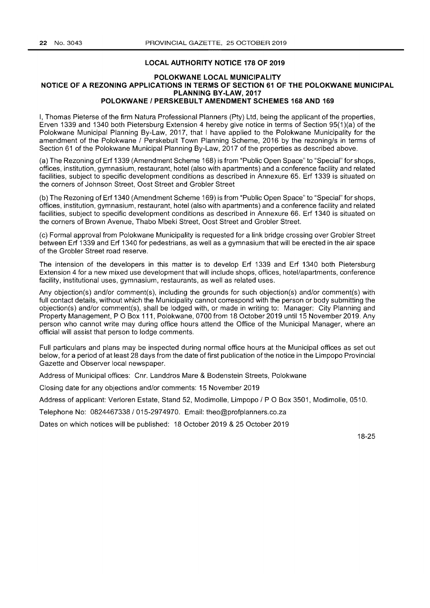## **LOCAL AUTHORITY NOTICE 178 OF 2019**

#### **POLOKWANE LOCAL MUNICIPALITY NOTICE OF A REZONING APPLICATIONS IN TERMS OF SECTION 61 OF THE POLOKWANE MUNICIPAL PLANNING BY-LAW, 2017 POLOKWANE I PERSKEBULT AMENDMENT SCHEMES 168 AND 169**

I, Thomas Pieterse of the firm Natura Professional Planners (Pty) Ltd, being the applicant of the properties, Erven 1339 and 1340 both Pietersburg Extension 4 hereby give notice in terms of Section 95(1 )(a) of the Polokwane Municipal Planning By-Law, 2017, that I have applied to the Polokwane Municipality for the amendment of the Polokwane / Perskebult Town Planning Scheme, 2016 by the rezoning/s in terms of Section 61 of the Polokwane Municipal Planning By-Law, 2017 of the properties as described above.

(a) The Rezoning of Erf 1339 (Amendment Scheme 168) is from "Public Open Space" to "Special" for shops, offices, institution, gymnasium, restaurant, hotel (also with apartments) and a conference facility and related facilities, subject to specific development conditions as described in Annexure 65. Erf 1339 is situated on the corners of Johnson Street, Oost Street and Grobler Street

(b) The Rezoning of Erf 1340 (Amendment Scheme 169) is from "Public Open Space" to "Special" for shops, offices, institution, gymnasium, restaurant, hotel (also with apartments) and a conference facility and related facilities, subject to specific development conditions as described in Annexure 66. Erf 1340 is situated on the corners of Brown Avenue, Thabo Mbeki Street, Oost Street and Grobler Street.

(c) Formal approval from Polokwane Municipality is requested for a link bridge crossing over Grobler Street between Erf 1339 and Erf 1340 for pedestrians, as well as a gymnasium that will be erected in the air space of the Grobler Street road reserve.

The intension of the developers in this matter is to develop Erf 1339 and Erf 1340 both Pietersburg Extension 4 for a new mixed use development that will include shops, offices, hotel/apartments, conference facility, institutional uses, gymnasium, restaurants, as well as related uses.

Any objection(s) and/or comment(s), including the grounds for such objection(s) and/or comment(s) with full contact details, without which the Municipality cannot correspond with the person or body submitting the objection(s) and/or comment(s), shall be lodged with, or made in writing to: Manager: City Planning and Property Management, POBox 111, Polokwane, 0700 from 18 October 2019 until 15 November 2019. Any person who cannot write may during office hours attend the Office of the Municipal Manager, where an official will assist that person to lodge comments.

Full particulars and plans may be inspected during normal office hours at the Municipal offices as set out below, for a period of at least 28 days from the date of first publication of the notice in the Limpopo Provincial Gazette and Observer local newspaper.

Address of Municipal offices: Cnr. Landdros Mare & Bodenstein Streets, Polokwane

Closing date for any objections and/or comments: 15 November 2019

Address of applicant: Verloren Estate, Stand 52, Modimolle, Limpopo / POBox 3501, Modimolle, 0510.

Telephone No: 0824467338/015-2974970. Email: theo@profplanners.co.za

Dates on which notices will be published: 18 October 2019 & 25 October 2019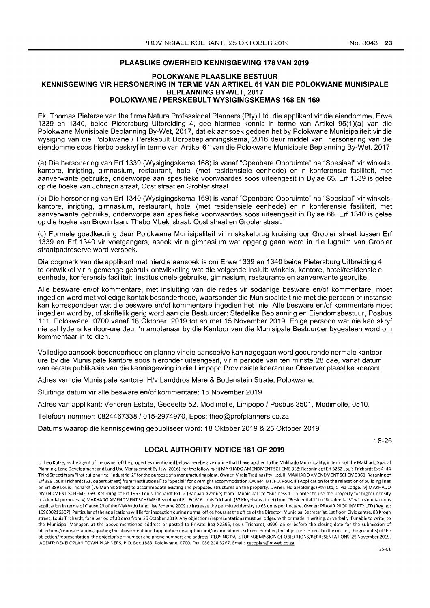#### **PLAASLIKE OWERHEID KENNISGEWING 178 VAN 2019**

#### **POLOKWANE PLAASLIKE BESTUUR KENNISGEWING VIR HERSONERING IN TERME VAN ARTIKEL 61 VAN DIE POLOKWANE MUNISIPALE BEPLANNING BY-WET, 2017 POLOKWANE I PERSKEBULT WYSIGINGSKEMAS 168 EN 169**

Ek, Thomas Pieterse van the firma Natura Professional Planners (Pty) Ltd, die applikant vir die eiendomme, Erwe 1339 en 1340, beide Pietersburg Uitbreiding 4, gee hiermee kennis in terme van Artikel 95(1 )(a) van die Polokwane Munisipale Beplanning By-Wet, 2017, dat ek aansoek gedoen het by Polokwane Munisipaliteit vir die wysiging van die Polokwane / Perskebult Dorpsbeplanningskema, 2016 deur middel van hersonering van die eiendomme soos hierbo beskryf in terme van Artikel 61 van die Polokwane Munisipale Beplanning By-Wet, 2017.

(a) Die hersonering van Erf 1339 (Wysigingskema 168) is vanaf "Openbare Oopruimte" na "Spesiaal" vir winkels, kantore, inrigting, gimnasium, restaurant, hotel (met residensiele eenhede) en n konferensie fasiliteit, met aanverwante gebruike, onderworpe aan spesifieke voorwaardes soos uiteengesit in Bylae 65. Erf 1339 is gelee op die hoeke van Johnson straat, Oost straat en Grobler straat.

(b) Die hersonering van Erf 1340 (Wysigingskema 169) is vanaf "Openbare Oopruimte" na "Spesiaal" vir winkels, kantore, inrigting, gimnasium, restaurant, hotel (met residensiele eenhede) en n konferensie fasiliteit, met aanverwante gebruike, onderworpe aan spesifieke voorwaardes soos uiteengesit in Bylae 66. Erf 1340 is gelee op die hoeke van Brown laan, Thabo Mbeki straat, Oost straat en Grobler straat.

(c) Formele goedkeuring deur Polokwane Munisipaliteit vir n skakelbrug kruising oor Grobler straat tussen Erf 1339 en Erf 1340 vir voetgangers, asook vir n gimnasium wat opgerig gaan word in die lugruim van Grobler straatpadreserve word versoek.

Die oogmerk van die applikant met hierdie aansoek is om Erwe 1339 en 1340 beide Pietersburg Uitbreiding 4 te ontwikkel vir n gemenge gebruik ontwikkeling wat die volgende insluit: winkels, kantore, hotel/residensiele eenhede, konferensie fasiliteit, institusionele gebruike, gimnasium, restaurante en aanverwante gebruike.

Aile besware en/of kommentare, met insluiting van die redes vir sodanige besware en/of kommentare, moet ingedien word met volledige kontak besonderhede, waarsonder die Munisipaliteit nie met die persoon of instansie kan korrespondeer wat die besware en/of kommentare ingedien het nie. Aile besware en/of kommentare moet ingedien word by, of skriftelik gerig word aan die Bestuurder: Stedelike Beplanning en Eiendomsbestuur, Posbus 111, Polokwane, 0700 vanaf 18 Oktober 2019 tot en met 15 November 2019. Enige persoon wat nie kan skryf nie sal tydens kantoor-ure deur 'n amptenaar by die Kantoor van die Munisipale Bestuurder bygestaan word om kommentaar in te dien.

Volledige aansoek besonderhede en planne vir die aansoek/e kan nagegaan word gedurende normale kantoor ure by die Munisipale kantore soos hieronder uiteengesit, vir n periode van ten minste 28 dae, vanaf datum van eerste publikasie van die kennisgewing in die Limpopo Provinsiale koerant en Observer plaaslike koerant.

Adres van die Munisipale kantore: H/v Landdros Mare & Bodenstein Strate, Polokwane.

Sluitings datum vir aile besware en/of kommentare: 15 November 2019

Adres van applikant: Verloren Estate, Gedeelte 52, Modimolle, Limpopo / Posbus 3501, Modimolle, 0510.

Telefoon nommer: 0824467338/015-2974970, Epos: theo@profplanners.co.za

Datums waarop die kennisgewing gepubliseer word: 18 Oktober 2019 & 25 Oktober 2019

18-25

# **LOCAL AUTHORITY NOTICE 181 OF 2019**

I, Theo Kotze, as the agent of the owner of the properties mentioned below, hereby give notice that I have applied to the Makhado Municipality, in terms of the Makhado Spatial Planning, Land Development and Land Use Management By-law (2016), for the following: i) MAKHADO AMENDMENT SCHEME 358: Rezoning of Erf 3262 Louis Trichardt Ext 4 (44 Third Street) from "Institutional" to "Industrial 2" forthe purpose of a manufacturing plant. Owner: Viraja Trading (Pty) Ltd. ii) MAKHADO AMENDMENT SCHEME 361: Rezoning of Erf 389 Louis Trichardt (51 Joubert Street) from "Institutional" to "Special" for overnight accommodation. Owner: Mr. H.J. Roux. iii) Application for the relaxation of building lines on Erf 389 Louis Trichardt (76 Munnik Street) to accommodate existing and proposed structures on the property. Owner: Ndia Holdings (Pty) Ltd, Clivia Lodge. iv) MAKHADO AMENDMENT SCHEME 359: Rezoning of Erf 1953 Louis Trichardt Ext. 2 (Baobab Avenue) from "Municipal" to "Business 1" in order to use the property for higher density residential purposes. v) MAKHADO AMENDMENT SCHEME: Rezoning of Erf Erf 616 Louis Trichardt (57 Kleynhans street) from "Residential 1" to "Residential 3" with simultaneous application in terms of Clause 23 of the Makhado Land Use Scheme 2009 to increase the permitted density to 65 units per hectare. Owner: PRAVIR PROP INV PTY LTD (Reg no: 199600216307). Particular of the applications will lie for inspection during normal office hours atthe office of the Director, Municipal Secretariat, 1st floor, Civic centre, 83 Krogh street, Louis Trichardt, for a period of 30 days from 25 October 2019. Any objections/representations must be lodged with or made in writing, or verbally if unable to write, to the Municipal Manager, at the above-mentioned address or posted to Private Bag X2596, Louis Trichardt, 0920 on or before the closing date for the submission of objections/representations, quoting the above mentioned application description and/or amendment scheme number, the objector's interest in the matter, the ground(s) ofthe objection/representation, the objector's erfnumber and phone numbers and address. CLOSING DATE FOR SUBMISSION OF OBJECTIONS/REPRESENTATIONS: 25 November 2019. AGENT: DEVELOPLAN TOWN PLANNERS, P.O. Box 1883, Polokwane, 0700. Fax: 086 218 3267. Email: tecoplan@mweb.co.za.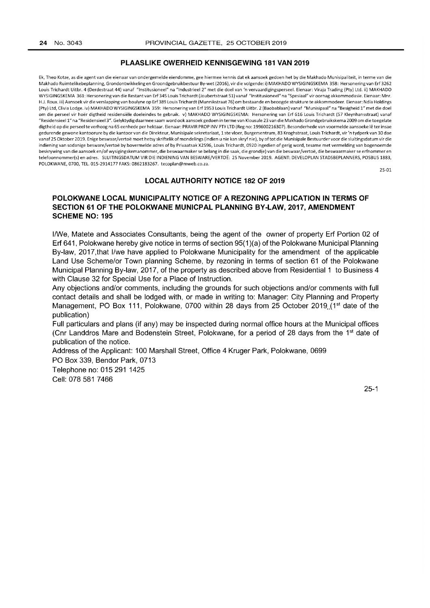#### PLAASLIKE OWERHEID KENNISGEWING 181 VAN 2019

Ek, Theo Kotze, as die agent van die eienaar van ondergemelde eiendomme, gee hiermee kennis dat ek aansoek gedoen het by die Makhado Munisipaliteit, in terme van die Makhado Ruimtelikebeplanning, Grondontwikkeling en Groondgebruikbestuur By-wet (2016), vir die volgende: i) MAKHADO WY51GING5KEMA 358: Hersoneringvan Erf 3262 Louis Trichardt Uitbr. 4 (Derdestraat 44) vanaf "Institusioneel" na "Industrieel 2" met die doel van 'n vervaardigingsperseel. Eienaar: Viraja Trading (Pty) Ltd. ii) MAKHADO WYSIGINGSKEMA 361: Hersonering van die Restant van Erf 345 Louis Trichardt (Joubertstraat 51) vanaf "Institusioneel" na "Spesiaal" vir oornag akkommodasie. Eienaar: Mnr. H.J. Roux. iii) Aansoek vir die verslapping van boulyne op Erf 389 Louis Trichardt (Munnikstraat 76) om bestaande en beoogde strukture te akkommodeer. Eienaar: Ndia Holdings (Pty) Ltd, Clivi a Lodge. iv) MAKHADO WY51GING5KEMA 359: Hersoneringvan Erf 1953 Louis Trichardt Uitbr. 2 (Baobablaan) vanaf "Munisipaal" na "Besigheid 1" met die doel om die perseel vir hoer digtheid residensiele doeleindes te gebruik. v) MAKHADO WY5IGING5KEMA: Hersonering van Erf 616 Louis Trichardt (57 Kleynhansstraat) vanaf IIResidensieell <sup>11</sup>na "ResidensieeI3((. Gelyktydig daarmee saam word oak aansoek gedoen in terme van Klousule 23 van die Makhado Grondgebruikskema 2009 om die toegelate digtheid op die perseel te verhoog na 65 eenhede per hektaar. Eienaar: PRAVIR PROP INV PTY LTD (Reg no: 199600216307). Besonderhede van voormelde aansoeke Ie ter insae gedurende gewone kantoorure by die kantoor van die Direkteur, Munisipale sekretariaat, 1 ste vloer, Burgersentrum, 83 Kroghstraat, Louis Trichardt, vir 'n tydperk van 30 dae vanaf 25 Oktober 2019. Enige beswaar/vertoe moet hetsy skriftelik of mondelings (indien u nie kan skryf nie), by oftot die Munisipale Bestuurder voor die sluitingsdatum vir die indiening van sodanige besware/vertoe by bovermelde adres of by Privaatsak X2S96, Louis Trichardt, 0920 ingedien of gerig word, tesame met vermelding van bogenoemde beskrywing van die aansoek en/of wysigingskemanommer, die beswaarmaker se belang in die saak, die grond(e) van die beswaar/vertoë, die beswaarmaker se erfnommer en telefoonnommer(s) en adres. 5LUITING5DATUM VIR DIE INDIENING VAN BE5WARE/VERTOE: 25 November 2019. AGENT: DEVELOPLAN 5TAD5BEPLANNER5, P05BU5 1883, POLOKWANE, 0700, TEL. 015-2914177 FAK5: 0862183267. tecoplan@mweb.co.za.

25-01

#### LOCAL AUTHORITY NOTICE 182 OF 2019

# POLOKWANE LOCAL MUNICIPALITY NOTICE OF A REZONING APPLICATION IN TERMS OF SECTION 61 OF THE POLOKWANE MUNICPAL PLANNING BY-LAW, 2017, AMENDMENT SCHEME NO: 195

I/We, Matete and Associates Consultants, being the agent of the owner of property Erf Portion 02 of Erf 641, Polokwane hereby give notice in terms of section 95(1 )(a) of the Polokwane Municipal Planning By-law, 2017,that I/we have applied to Polokwane Municipality for the amendment of the applicable Land Use Scheme/or Town planning Scheme, by rezoning in terms of section 61 of the Polokwane Municipal Planning By-law, 2017, of the property as described above from Residential 1 to Business 4 with Clause 32 for Special Use for a Place of Instruction.

Any objections and/or comments, including the grounds for such objections and/or comments with full contact details and shall be lodged with, or made in writing to: Manager: City Planning and Property Management, PO Box 111, Polokwane, 0700 within 28 days from 25 October 2019 (1st date of the publication)

Full particulars and plans (if any) may be inspected during normal office hours at the Municipal offices (Cnr Landdros Mare and Bodenstein Street, Polokwane, for a period of 28 days from the  $1<sup>st</sup>$  date of publication of the notice.

Address of the Applicant: 100 Marshall Street, Office 4 Kruger Park, Polokwane, 0699 PO Box 339, Bendor Park, 0713 Telephone no: 015291 1425

Cell: 078581 7466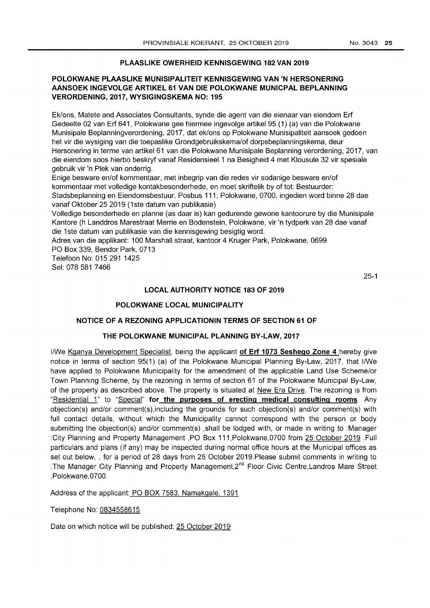# PLAASLIKE OWERHEID KENNISGEWING 182 VAN 2019

# POLOKWANE PLAASLIKE MUNISIPALITEIT KENNISGEWING VAN 'N HERSONERING AANSOEK INGEVOLGE ARTIKEL 61 VAN DIE POLOKWANE MUNICPAL BEPLANNING VERORDENING, 2017, WYSIGINGSKEMA NO: 195

Ek/ons, Matete and Associates Consultants, synde die agent van die eienaar van eiendom Erf Gedeelte 02 van Erf 641, Polokwane gee hiermee ingevolge artikel 95 (1) (a) van die Polokwane Munisipale Beplanningverordening, 2017, dat ek/ons op Polokwane Munisipaliteit aansoek gedoen het vir die wysiging van die toepaslike Grondgebruikskema/of dorpsbeplanningskema, deur Hersonering in terme van artikel 61 van die Polokwane Munisipale Beplanning verordening, 2017, van die eiendom soos hierbo beskryf vanaf Residensieel 1 na Besigheid 4 met Klousule 32 vir spesiale gebruik vir 'n Plek van onderrig.

Enige besware en/of kommentaar, met inbegrip van die redes vir sodanige besware en/of kommentaar met volledige kontakbesonderhede, en moet skriftelik by of tot: Bestuurder: Stadsbeplanning en Eiendomsbestuur, Posbus 111, Polokwane, 0700, ingedien word binne 28 dae vanaf Oktober 252019 (1ste datum van publikasie)

Volledige besonderhede en planne (as daar is) kan gedurende gewone kantoorure by die Munisipale Kantore (h Landdros Marestraat Merrie en Bodenstein, Polokwane, vir 'n tydperk van 28 dae vanaf die 1 ste datum van publikasie van die kennisgewing besigtig word.

Adres van die applikant: 100 Marshall straat, kantoor 4 Kruger Park, Polokwane, 0699 PO Box 339, Bendor Park, 0713

Telefoon No: 015291 1425 Sel: 078 581 7466

25-1

## LOCAL AUTHORITY NOTICE 183 OF 2019

# POLOKWANE LOCAL MUNICIPALITY

# NOTICE OF A REZONING APPLICATIONIN TERMS OF SECTION 61 OF

# THE POLOKWANE MUNICIPAL PLANNING BY-LAW, 2017

I/We Kganya Development Specialist, being the applicant of Erf 1073 Seshego Zone 4 hereby give notice in terms of section 95(1) (a) of the Polokwane Municipal Planning By-Law, 2017, that I/We have applied to Polokwane Municipality for the amendment of the applicable Land Use Scheme/or Town Planning Scheme, by the rezoning in terms of section 61 of the Polokwane Municipal By-Law, of the property as described above. The property is situated at New Era Drive. The rezoning is from "Residential 1" to "Special" for the purposes of erecting medical consulting rooms. Any objection(s) and/or comment(s),including the grounds for such objection(s) and/or comment(s) with full contact details, without which the Municipality cannot correspond with the person or body submitting the objection(s) and/or comment(s) ,shall be lodged with, or made in writing to :Manager :City Planning and Property Management ,PO Box 111 ,Polokwane,0700 from 25 October 2019 .Full particulars and plans (if any) may be inspected during normal office hours at the Municipal offices as set out below, , for a period of 28 days from 25 October 2019.Please submit comments in writing to :The Manager City Planning and Property Management, 2<sup>nd</sup> Floor Civic Centre, Landros Mare Street ,Polokwane, 0700.

Address of the applicant: PO BOX 7583, Namakgale, 1391

Telephone No: 0834558615

Date on which notice will be published: 25 October 2019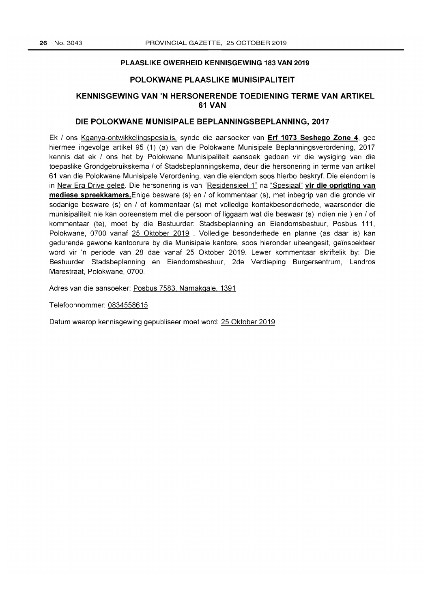# **PLAASLIKE OWERHEID KENNISGEWING 183 VAN 2019**

# **POLOKWANE PLAASLIKE MUNISIPALITEIT**

# **KENNISGEWING VAN 'N HERSONERENDE TOEDIENING TERME VAN ARTIKEL 61 VAN**

## **DIE POLOKWANE MUNISIPALE BEPLANNINGSBEPLANNING, 2017**

Ek / ons Kganya-ontwikkelingspesialis. synde die aansoeker van **Erf 1073 Seshego Zone** 4, gee hiermee ingevolge artikel 95 (1) (a) van die Polokwane Munisipale Beplanningsverordening, 2017 kennis dat ek / ons het by Polokwane Munisipaliteit aansoek gedoen vir die wysiging van die toepaslike Grondgebruikskema / of Stadsbeplanningskema, deur die hersonering in terme van artikel 61 van die Polokwane Munisipale Verordening, van die eiendom soos hierbo beskryf. Die eiendom is in New Era Drive geleë. Die hersonering is van "Residensieel 1" na "Spesiaal" vir die oprigting van **mediese spreekkamers.Enige** besware (s) en / of kommentaar (s), met inbegrip van die gronde vir sodanige besware (s) en / of kommentaar (s) met volledige kontakbesonderhede, waarsonder die munisipaliteit nie kan ooreenstem met die persoon of liggaam wat die beswaar (s) indien nie ) en / of kommentaar (te), moet by die Bestuurder: Stadsbeplanning en Eiendomsbestuur, Posbus 111, Polokwane, 0700 vanaf 25 Oktober 2019 . Volledige besonderhede en planne (as daar is) kan gedurende gewone kantoorure by die Munisipale kantore, soos hieronder uiteengesit, geïnspekteer word vir 'n periode van 28 dae vanaf 25 Oktober 2019. Lewer kommentaar skriftelik by: Die Bestuurder Stadsbeplanning en Eiendomsbestuur, 2de Verdieping Burgersentrum, Landros Marestraat, Polokwane, 0700.

Adres van die aansoeker: Posbus 7583, Namakgale, 1391

Telefoonnommer: 0834558615

Datum waarop kennisgewing gepubliseer moet word: 25 Oktober 2019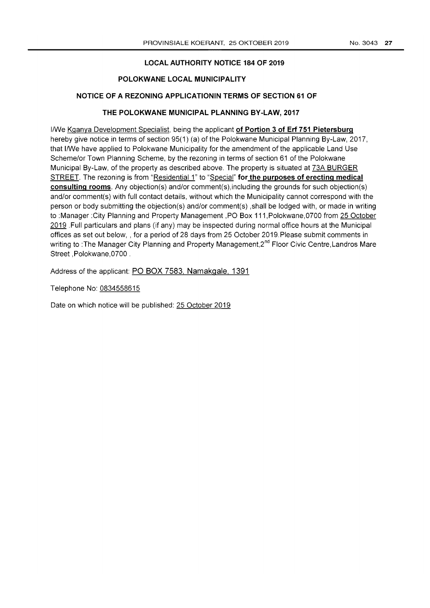# **LOCAL AUTHORITY NOTICE 184 OF 2019**

# **POLOKWANE LOCAL MUNICIPALITY**

# **NOTICE OF A REZONING APPLICATIONIN TERMS OF SECTION 61 OF**

# **THE POLOKWANE MUNICIPAL PLANNING BY-LAW, 2017**

l!We Kganya Development Specialist, being the applicant **of Portion 3 of Erf 751 Pietersburg**  hereby give notice in terms of section 95(1) (a) of the Polokwane Municipal Planning By-Law, 2017, that I/We have applied to Polokwane Municipality for the amendment of the applicable Land Use Scheme/or Town Planning Scheme, by the rezoning in terms of section 61 of the Polokwane Municipal By-Law, of the property as described above. The property is situated at 73A BURGER STREET. The rezoning is from "Residential 1" to "Special" **for the purposes of erecting medical consulting** rooms. Any objection(s) and/or comment(s),including the grounds for such objection(s) and/or comment(s) with full contact details, without which the Municipality cannot correspond with the person or body submitting the objection(s) and/or comment(s) ,shall be lodged with, or made in writing to :Manager :City Planning and Property Management ,PO Box 111, Polokwane, 0700 from 25 October 2019 .Full particulars and plans (if any) may be inspected during normal office hours at the Municipal offices as set out below, , for a period of 28 days from 25 October 2019.Please submit comments in writing to :The Manager City Planning and Property Management, 2<sup>nd</sup> Floor Civic Centre, Landros Mare Street ,Polokwane,0700 .

Address of the applicant: PO BOX 7583, Namakgale, 1391

Telephone No: 0834558615

Date on which notice will be published: 25 October 2019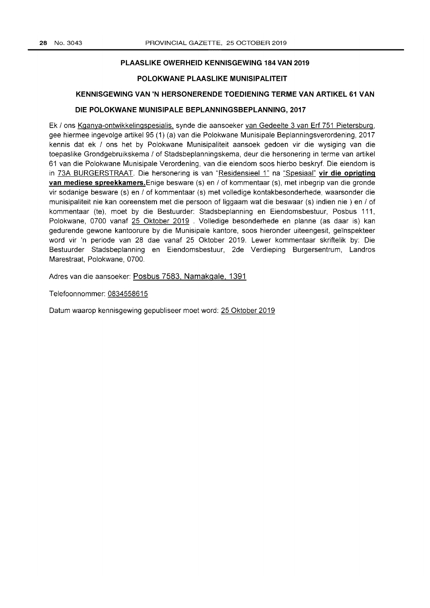# **PLAASLIKE OWERHEID KENNISGEWING 184 VAN 2019**

# **POLOKWANE PLAASLIKE MUNISIPALITEIT**

# **KENNISGEWING VAN 'N HERSONERENDE TOEDIENING TERME VAN ARTIKEL 61 VAN**

#### **DIE POLOKWANE MUNISIPALE BEPLANNINGSBEPLANNING, 2017**

Ek / ons Kganya-ontwikkelingspesialis, synde die aansoeker van Gedeelte 3 van Erf 751 Pietersburg, gee hiermee ingevolge artikel 95 (1) (a) van die Polokwane Munisipale Beplanningsverordening, 2017 kennis dat ek / ons het by Polokwane Munisipaliteit aansoek gedoen vir die wysiging van die toepaslike Grondgebruikskema / of Stadsbeplanningskema, deur die hersonering in terme van artikel 61 van die Polokwane Munisipale Verordening, van die eiendom soos hierbo beskryf. Die eiendom is in 73A BURGERSTRAAT. Die hersonering is van "Residensieel 1 " na "Spesiaal" **vir die oprigting van mediese spreekkamers.Enige** besware (s) en / of kommentaar (s), met inbegrip van die gronde vir sodanige besware (s) en / of kommentaar (s) met volledige kontakbesonderhede, waarsonder die munisipaliteit nie kan ooreenstem met die persoon of liggaam wat die beswaar (s) indien nie ) en / of kommentaar (te), moet by die Bestuurder: Stadsbeplanning en Eiendomsbestuur, Posbus 111, Polokwane, 0700 vanaf 25 Oktober 2019 . Volledige besonderhede en planne (as daar is) kan gedurende gewone kantoorure by die Munisipale kantore, soos hieronder uiteengesit, geïnspekteer word vir 'n periode van 28 dae vanaf 25 Oktober 2019. Lewer kommentaar skriftelik by: Die Bestuurder Stadsbeplanning en Eiendomsbestuur, 2de Verdieping Burgersentrum, Landros Marestraat, Polokwane, 0700.

Adres van die aansoeker: Posbus 7583, Namakgale, 1391

Telefoonnommer: 0834558615

Datum waarop kennisgewing gepubliseer moet word: 25 Oktober 2019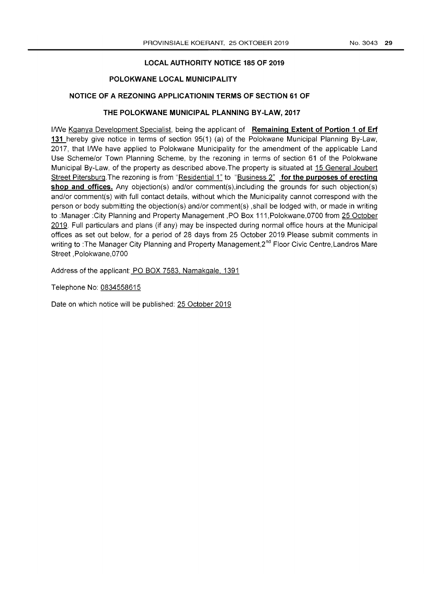# **LOCAL AUTHORITY NOTICE 185 OF 2019**

# **POLOKWANE LOCAL MUNICIPALITY**

# **NOTICE OF A REZONING APPLICATIONIN TERMS OF SECTION 61 OF**

## **THE POLOKWANE MUNICIPAL PLANNING BY-LAW, 2017**

l!We Kganya Development Specialist, being the applicant of **Remaining Extent of Portion 1 of Erf 131** hereby give notice in terms of section 95(1) (a) of the Polokwane Municipal Planning By-Law, 2017, that I/We have applied to Polokwane Municipality for the amendment of the applicable Land Use Scheme/or Town Planning Scheme, by the rezoning in terms of section 61 of the Polokwane Municipal By-Law, of the property as described above. The property is situated at 15 General Joubert Street Pitersburg.The rezoning is from "Residential 1" to "Business 2" **for the purposes of erecting shop and offices.** Any objection(s) and/or comment(s), including the grounds for such objection(s) and/or comment(s) with full contact details, without which the Municipality cannot correspond with the person or body submitting the objection(s) and/or comment(s) ,shall be lodged with, or made in writing to :Manager :City Planning and Property Management ,PO Box 111, Polokwane, 0700 from 25 October 2019. Full particulars and plans (if any) may be inspected during normal office hours at the Municipal offices as set out below, for a period of 28 days from 25 October 2019.Please submit comments in writing to :The Manager City Planning and Property Management, 2<sup>nd</sup> Floor Civic Centre, Landros Mare Street ,Polokwane,0700

Address of the applicant: PO BOX 7583. Namakgale, 1391

Telephone No: 0834558615

Date on which notice will be published: 25 October 2019